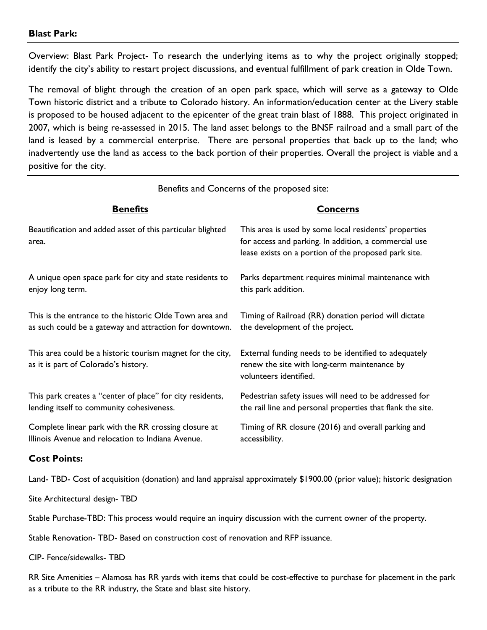## **Blast Park:**

Overview: Blast Park Project- To research the underlying items as to why the project originally stopped; identify the city's ability to restart project discussions, and eventual fulfillment of park creation in Olde Town.

The removal of blight through the creation of an open park space, which will serve as a gateway to Olde Town historic district and a tribute to Colorado history. An information/education center at the Livery stable is proposed to be housed adjacent to the epicenter of the great train blast of 1888. This project originated in 2007, which is being re-assessed in 2015. The land asset belongs to the BNSF railroad and a small part of the land is leased by a commercial enterprise. There are personal properties that back up to the land; who inadvertently use the land as access to the back portion of their properties. Overall the project is viable and a positive for the city.

| Benefits and Concerns of the proposed site:                                                                        |                                                                                                                                                                        |
|--------------------------------------------------------------------------------------------------------------------|------------------------------------------------------------------------------------------------------------------------------------------------------------------------|
| <b>Benefits</b>                                                                                                    | <b>Concerns</b>                                                                                                                                                        |
| Beautification and added asset of this particular blighted<br>area.                                                | This area is used by some local residents' properties<br>for access and parking. In addition, a commercial use<br>lease exists on a portion of the proposed park site. |
| A unique open space park for city and state residents to<br>enjoy long term.                                       | Parks department requires minimal maintenance with<br>this park addition.                                                                                              |
| This is the entrance to the historic Olde Town area and<br>as such could be a gateway and attraction for downtown. | Timing of Railroad (RR) donation period will dictate<br>the development of the project.                                                                                |
| This area could be a historic tourism magnet for the city,<br>as it is part of Colorado's history.                 | External funding needs to be identified to adequately<br>renew the site with long-term maintenance by<br>volunteers identified.                                        |
| This park creates a "center of place" for city residents,<br>lending itself to community cohesiveness.             | Pedestrian safety issues will need to be addressed for<br>the rail line and personal properties that flank the site.                                                   |
| Complete linear park with the RR crossing closure at<br>Illinois Avenue and relocation to Indiana Avenue.          | Timing of RR closure (2016) and overall parking and<br>accessibility.                                                                                                  |
| <b>Cost Points:</b>                                                                                                |                                                                                                                                                                        |

Land- TBD- Cost of acquisition (donation) and land appraisal approximately \$1900.00 (prior value); historic designation

Site Architectural design- TBD

Stable Purchase-TBD: This process would require an inquiry discussion with the current owner of the property.

Stable Renovation- TBD- Based on construction cost of renovation and RFP issuance.

CIP- Fence/sidewalks- TBD

RR Site Amenities – Alamosa has RR yards with items that could be cost-effective to purchase for placement in the park as a tribute to the RR industry, the State and blast site history.